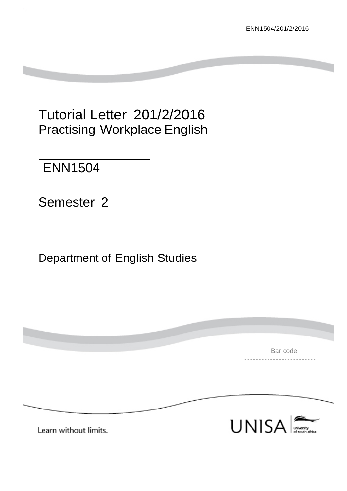# Tutorial Letter 201/2/2016 Practising Workplace English

# ENN1504

Semester 2

# Department of English Studies

|                       | Bar code                                      |
|-----------------------|-----------------------------------------------|
|                       |                                               |
|                       |                                               |
|                       |                                               |
| Learn without limits. | <b>UNISA</b><br>university<br>of south africa |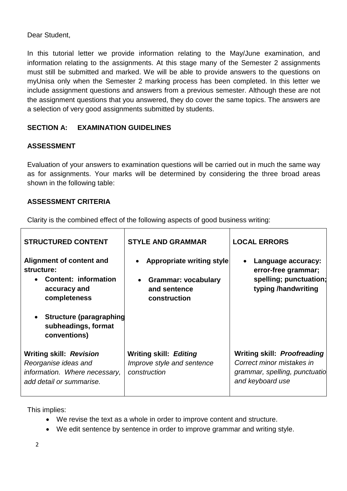# Dear Student,

In this tutorial letter we provide information relating to the May/June examination, and information relating to the assignments. At this stage many of the Semester 2 assignments must still be submitted and marked. We will be able to provide answers to the questions on myUnisa only when the Semester 2 marking process has been completed. In this letter we include assignment questions and answers from a previous semester. Although these are not the assignment questions that you answered, they do cover the same topics. The answers are a selection of very good assignments submitted by students.

# **SECTION A: EXAMINATION GUIDELINES**

# **ASSESSMENT**

Evaluation of your answers to examination questions will be carried out in much the same way as for assignments. Your marks will be determined by considering the three broad areas shown in the following table:

# **ASSESSMENT CRITERIA**

Clarity is the combined effect of the following aspects of good business writing:

| <b>STRUCTURED CONTENT</b>                                                                                           | <b>STYLE AND GRAMMAR</b>                                                                       | <b>LOCAL ERRORS</b>                                                                                                  |
|---------------------------------------------------------------------------------------------------------------------|------------------------------------------------------------------------------------------------|----------------------------------------------------------------------------------------------------------------------|
| Alignment of content and<br>structure:<br>• Content: information<br>accuracy and<br>completeness                    | <b>Appropriate writing style</b><br><b>Grammar: vocabulary</b><br>and sentence<br>construction | Language accuracy:<br>error-free grammar;<br>spelling; punctuation;<br>typing /handwriting                           |
| • Structure (paragraphing<br>subheadings, format<br>conventions)                                                    |                                                                                                |                                                                                                                      |
| <b>Writing skill: Revision</b><br>Reorganise ideas and<br>information. Where necessary,<br>add detail or summarise. | <b>Writing skill: Editing</b><br>Improve style and sentence<br>construction                    | <b>Writing skill: Proofreading</b><br>Correct minor mistakes in<br>grammar, spelling, punctuatio<br>and keyboard use |

This implies:

- We revise the text as a whole in order to improve content and structure.
- We edit sentence by sentence in order to improve grammar and writing style.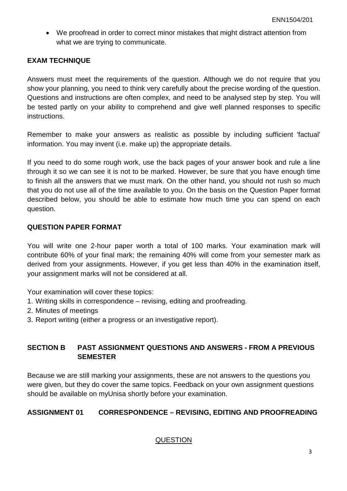• We proofread in order to correct minor mistakes that might distract attention from what we are trying to communicate.

### **EXAM TECHNIQUE**

Answers must meet the requirements of the question. Although we do not require that you show your planning, you need to think very carefully about the precise wording of the question. Questions and instructions are often complex, and need to be analysed step by step. You will be tested partly on your ability to comprehend and give well planned responses to specific instructions.

Remember to make your answers as realistic as possible by including sufficient 'factual' information. You may invent (i.e. make up) the appropriate details.

If you need to do some rough work, use the back pages of your answer book and rule a line through it so we can see it is not to be marked. However, be sure that you have enough time to finish all the answers that we must mark. On the other hand, you should not rush so much that you do not use all of the time available to you. On the basis on the Question Paper format described below, you should be able to estimate how much time you can spend on each question.

#### **QUESTION PAPER FORMAT**

You will write one 2-hour paper worth a total of 100 marks. Your examination mark will contribute 60% of your final mark; the remaining 40% will come from your semester mark as derived from your assignments. However, if you get less than 40% in the examination itself, your assignment marks will not be considered at all.

Your examination will cover these topics:

- 1. Writing skills in correspondence revising, editing and proofreading.
- 2. Minutes of meetings
- 3. Report writing (either a progress or an investigative report).

# **SECTION B PAST ASSIGNMENT QUESTIONS AND ANSWERS - FROM A PREVIOUS SEMESTER**

Because we are still marking your assignments, these are not answers to the questions you were given, but they do cover the same topics. Feedback on your own assignment questions should be available on myUnisa shortly before your examination.

#### **ASSIGNMENT 01 CORRESPONDENCE – REVISING, EDITING AND PROOFREADING**

#### QUESTION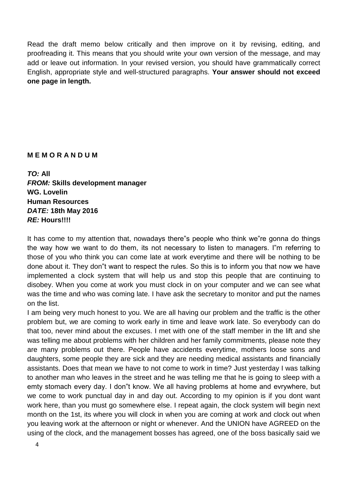Read the draft memo below critically and then improve on it by revising, editing, and proofreading it. This means that you should write your own version of the message, and may add or leave out information. In your revised version, you should have grammatically correct English, appropriate style and well-structured paragraphs. **Your answer should not exceed one page in length.** 

#### **M E M O R A N D U M**

*TO:* **All**  *FROM:* **Skills development manager WG. Lovelin Human Resources**  *DATE:* **18th May 2016** *RE:* **Hours!!!!** 

It has come to my attention that, nowadays there"s people who think we"re gonna do things the way how we want to do them, its not necessary to listen to managers. I"m referring to those of you who think you can come late at work everytime and there will be nothing to be done about it. They don"t want to respect the rules. So this is to inform you that now we have implemented a clock system that will help us and stop this people that are continuing to disobey. When you come at work you must clock in on your computer and we can see what was the time and who was coming late. I have ask the secretary to monitor and put the names on the list.

I am being very much honest to you. We are all having our problem and the traffic is the other problem but, we are coming to work early in time and leave work late. So everybody can do that too, never mind about the excuses. I met with one of the staff member in the lift and she was telling me about problems with her children and her family commitments, please note they are many problems out there. People have accidents everytime, mothers loose sons and daughters, some people they are sick and they are needing medical assistants and financially assistants. Does that mean we have to not come to work in time? Just yesterday I was talking to another man who leaves in the street and he was telling me that he is going to sleep with a emty stomach every day. I don"t know. We all having problems at home and evrywhere, but we come to work punctual day in and day out. According to my opinion is if you dont want work here, than you must go somewhere else. I repeat again, the clock system will begin next month on the 1st, its where you will clock in when you are coming at work and clock out when you leaving work at the afternoon or night or whenever. And the UNION have AGREED on the using of the clock, and the management bosses has agreed, one of the boss basically said we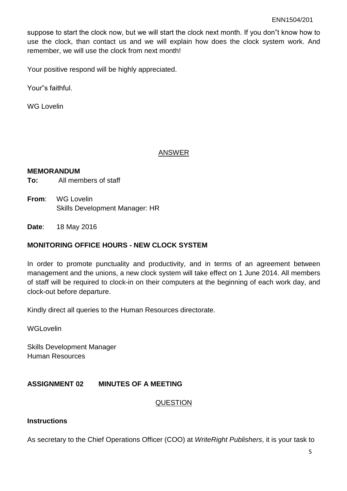suppose to start the clock now, but we will start the clock next month. If you don"t know how to use the clock, than contact us and we will explain how does the clock system work. And remember, we will use the clock from next month!

Your positive respond will be highly appreciated.

Your"s faithful.

WG Lovelin

#### ANSWER

#### **MEMORANDUM**

**To:** All members of staff

**From**: WG Lovelin Skills Development Manager: HR

**Date**: 18 May 2016

#### **MONITORING OFFICE HOURS - NEW CLOCK SYSTEM**

In order to promote punctuality and productivity, and in terms of an agreement between management and the unions, a new clock system will take effect on 1 June 2014. All members of staff will be required to clock-in on their computers at the beginning of each work day, and clock-out before departure.

Kindly direct all queries to the Human Resources directorate.

**WGLovelin** 

Skills Development Manager Human Resources

#### **ASSIGNMENT 02 MINUTES OF A MEETING**

#### **QUESTION**

### **Instructions**

As secretary to the Chief Operations Officer (COO) at *WriteRight Publishers*, it is your task to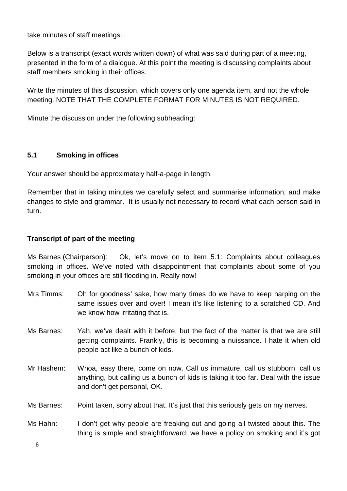take minutes of staff meetings.

Below is a transcript (exact words written down) of what was said during part of a meeting, presented in the form of a dialogue. At this point the meeting is discussing complaints about staff members smoking in their offices.

Write the minutes of this discussion, which covers only one agenda item, and not the whole meeting. NOTE THAT THE COMPLETE FORMAT FOR MINUTES IS NOT REQUIRED.

Minute the discussion under the following subheading:

# **5.1 Smoking in offices**

Your answer should be approximately half-a-page in length.

Remember that in taking minutes we carefully select and summarise information, and make changes to style and grammar. It is usually not necessary to record what each person said in turn.

### **Transcript of part of the meeting**

Ms Barnes (Chairperson): Ok, let's move on to item 5.1: Complaints about colleagues smoking in offices. We've noted with disappointment that complaints about some of you smoking in your offices are still flooding in. Really now!

- Mrs Timms: Oh for goodness' sake, how many times do we have to keep harping on the same issues over and over! I mean it's like listening to a scratched CD. And we know how irritating that is.
- Ms Barnes: Yah, we've dealt with it before, but the fact of the matter is that we are still getting complaints. Frankly, this is becoming a nuissance. I hate it when old people act like a bunch of kids.
- Mr Hashem: Whoa, easy there, come on now. Call us immature, call us stubborn, call us anything, but calling us a bunch of kids is taking it too far. Deal with the issue and don't get personal, OK.
- Ms Barnes: Point taken, sorry about that. It's just that this seriously gets on my nerves.
- Ms Hahn: I don't get why people are freaking out and going all twisted about this. The thing is simple and straightforward; we have a policy on smoking and it's got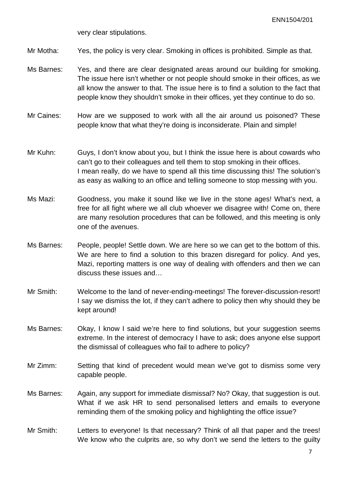very clear stipulations.

Mr Motha: Yes, the policy is very clear. Smoking in offices is prohibited. Simple as that.

- Ms Barnes: Yes, and there are clear designated areas around our building for smoking. The issue here isn't whether or not people should smoke in their offices, as we all know the answer to that. The issue here is to find a solution to the fact that people know they shouldn't smoke in their offices, yet they continue to do so.
- Mr Caines: How are we supposed to work with all the air around us poisoned? These people know that what they're doing is inconsiderate. Plain and simple!
- Mr Kuhn: Guys, I don't know about you, but I think the issue here is about cowards who can't go to their colleagues and tell them to stop smoking in their offices. I mean really, do we have to spend all this time discussing this! The solution's as easy as walking to an office and telling someone to stop messing with you.
- Ms Mazi: Goodness, you make it sound like we live in the stone ages! What's next, a free for all fight where we all club whoever we disagree with! Come on, there are many resolution procedures that can be followed, and this meeting is only one of the avenues.
- Ms Barnes: People, people! Settle down. We are here so we can get to the bottom of this. We are here to find a solution to this brazen disregard for policy. And yes, Mazi, reporting matters is one way of dealing with offenders and then we can discuss these issues and…
- Mr Smith: Welcome to the land of never-ending-meetings! The forever-discussion-resort! I say we dismiss the lot, if they can't adhere to policy then why should they be kept around!
- Ms Barnes: Okay, I know I said we're here to find solutions, but your suggestion seems extreme. In the interest of democracy I have to ask; does anyone else support the dismissal of colleagues who fail to adhere to policy?
- Mr Zimm: Setting that kind of precedent would mean we've got to dismiss some very capable people.
- Ms Barnes: Again, any support for immediate dismissal? No? Okay, that suggestion is out. What if we ask HR to send personalised letters and emails to everyone reminding them of the smoking policy and highlighting the office issue?
- Mr Smith: Letters to everyone! Is that necessary? Think of all that paper and the trees! We know who the culprits are, so why don't we send the letters to the guilty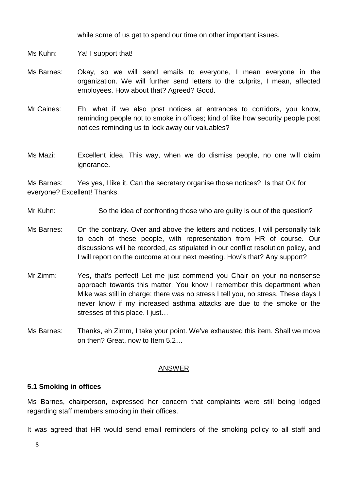while some of us get to spend our time on other important issues.

- Ms Kuhn: Ya! I support that!
- Ms Barnes: Okay, so we will send emails to everyone, I mean everyone in the organization. We will further send letters to the culprits, I mean, affected employees. How about that? Agreed? Good.
- Mr Caines: Eh, what if we also post notices at entrances to corridors, you know, reminding people not to smoke in offices; kind of like how security people post notices reminding us to lock away our valuables?
- Ms Mazi: Excellent idea. This way, when we do dismiss people, no one will claim ignorance.

Ms Barnes: Yes yes, I like it. Can the secretary organise those notices? Is that OK for everyone? Excellent! Thanks.

- Mr Kuhn: So the idea of confronting those who are guilty is out of the question?
- Ms Barnes: On the contrary. Over and above the letters and notices, I will personally talk to each of these people, with representation from HR of course. Our discussions will be recorded, as stipulated in our conflict resolution policy, and I will report on the outcome at our next meeting. How's that? Any support?
- Mr Zimm: Yes, that's perfect! Let me just commend you Chair on your no-nonsense approach towards this matter. You know I remember this department when Mike was still in charge; there was no stress I tell you, no stress. These days I never know if my increased asthma attacks are due to the smoke or the stresses of this place. I just…
- Ms Barnes: Thanks, eh Zimm, I take your point. We've exhausted this item. Shall we move on then? Great, now to Item 5.2…

#### ANSWER

#### **5.1 Smoking in offices**

Ms Barnes, chairperson, expressed her concern that complaints were still being lodged regarding staff members smoking in their offices.

It was agreed that HR would send email reminders of the smoking policy to all staff and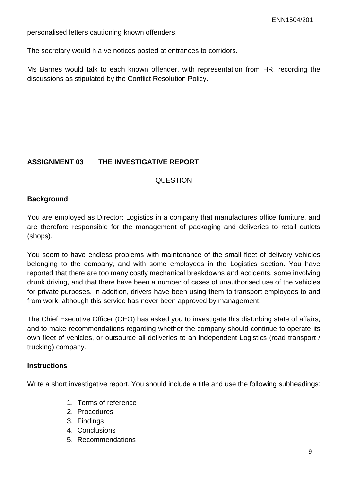personalised letters cautioning known offenders.

The secretary would h a ve notices posted at entrances to corridors.

Ms Barnes would talk to each known offender, with representation from HR, recording the discussions as stipulated by the Conflict Resolution Policy.

#### **ASSIGNMENT 03 THE INVESTIGATIVE REPORT**

#### QUESTION

#### **Background**

You are employed as Director: Logistics in a company that manufactures office furniture, and are therefore responsible for the management of packaging and deliveries to retail outlets (shops).

You seem to have endless problems with maintenance of the small fleet of delivery vehicles belonging to the company, and with some employees in the Logistics section. You have reported that there are too many costly mechanical breakdowns and accidents, some involving drunk driving, and that there have been a number of cases of unauthorised use of the vehicles for private purposes. In addition, drivers have been using them to transport employees to and from work, although this service has never been approved by management.

The Chief Executive Officer (CEO) has asked you to investigate this disturbing state of affairs, and to make recommendations regarding whether the company should continue to operate its own fleet of vehicles, or outsource all deliveries to an independent Logistics (road transport / trucking) company.

#### **Instructions**

Write a short investigative report. You should include a title and use the following subheadings:

- 1. Terms of reference
- 2. Procedures
- 3. Findings
- 4. Conclusions
- 5. Recommendations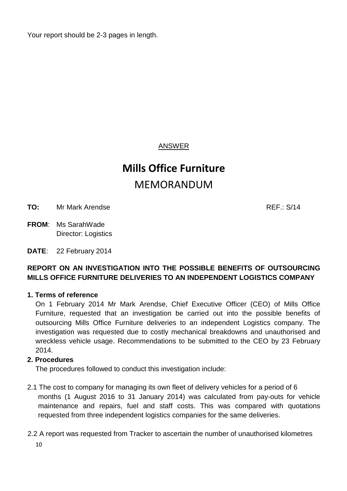Your report should be 2-3 pages in length.

# ANSWER

# **Mills Office Furniture** MEMORANDUM

**TO:** Mr Mark Arendse **REF.:** S/14

**FROM**: Ms SarahWade Director: Logistics

**DATE**: 22 February 2014

# **REPORT ON AN INVESTIGATION INTO THE POSSIBLE BENEFITS OF OUTSOURCING MILLS OFFICE FURNITURE DELIVERIES TO AN INDEPENDENT LOGISTICS COMPANY**

# **1. Terms of reference**

On 1 February 2014 Mr Mark Arendse, Chief Executive Officer (CEO) of Mills Office Furniture, requested that an investigation be carried out into the possible benefits of outsourcing Mills Office Furniture deliveries to an independent Logistics company. The investigation was requested due to costly mechanical breakdowns and unauthorised and wreckless vehicle usage. Recommendations to be submitted to the CEO by 23 February 2014.

#### **2. Procedures**

The procedures followed to conduct this investigation include:

- 2.1 The cost to company for managing its own fleet of delivery vehicles for a period of 6 months (1 August 2016 to 31 January 2014) was calculated from pay-outs for vehicle maintenance and repairs, fuel and staff costs. This was compared with quotations requested from three independent logistics companies for the same deliveries.
- 2.2 A report was requested from Tracker to ascertain the number of unauthorised kilometres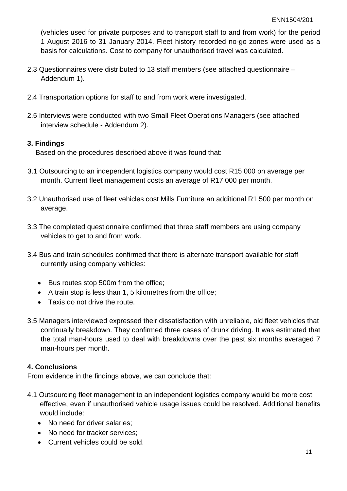(vehicles used for private purposes and to transport staff to and from work) for the period 1 August 2016 to 31 January 2014. Fleet history recorded no-go zones were used as a basis for calculations. Cost to company for unauthorised travel was calculated.

- 2.3 Questionnaires were distributed to 13 staff members (see attached questionnaire Addendum 1).
- 2.4 Transportation options for staff to and from work were investigated.
- 2.5 Interviews were conducted with two Small Fleet Operations Managers (see attached interview schedule - Addendum 2).

#### **3. Findings**

Based on the procedures described above it was found that:

- 3.1 Outsourcing to an independent logistics company would cost R15 000 on average per month. Current fleet management costs an average of R17 000 per month.
- 3.2 Unauthorised use of fleet vehicles cost Mills Furniture an additional R1 500 per month on average.
- 3.3 The completed questionnaire confirmed that three staff members are using company vehicles to get to and from work.
- 3.4 Bus and train schedules confirmed that there is alternate transport available for staff currently using company vehicles:
	- Bus routes stop 500m from the office;
	- A train stop is less than 1, 5 kilometres from the office;
	- Taxis do not drive the route.
- 3.5 Managers interviewed expressed their dissatisfaction with unreliable, old fleet vehicles that continually breakdown. They confirmed three cases of drunk driving. It was estimated that the total man-hours used to deal with breakdowns over the past six months averaged 7 man-hours per month.

### **4. Conclusions**

From evidence in the findings above, we can conclude that:

- 4.1 Outsourcing fleet management to an independent logistics company would be more cost effective, even if unauthorised vehicle usage issues could be resolved. Additional benefits would include:
	- No need for driver salaries;
	- No need for tracker services;
	- Current vehicles could be sold.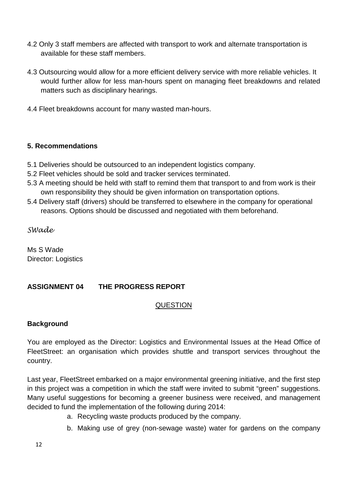- 4.2 Only 3 staff members are affected with transport to work and alternate transportation is available for these staff members.
- 4.3 Outsourcing would allow for a more efficient delivery service with more reliable vehicles. It would further allow for less man-hours spent on managing fleet breakdowns and related matters such as disciplinary hearings.
- 4.4 Fleet breakdowns account for many wasted man-hours.

# **5. Recommendations**

- 5.1 Deliveries should be outsourced to an independent logistics company.
- 5.2 Fleet vehicles should be sold and tracker services terminated.
- 5.3 A meeting should be held with staff to remind them that transport to and from work is their own responsibility they should be given information on transportation options.
- 5.4 Delivery staff (drivers) should be transferred to elsewhere in the company for operational reasons. Options should be discussed and negotiated with them beforehand.

*SWade* 

Ms S Wade Director: Logistics

# **ASSIGNMENT 04 THE PROGRESS REPORT**

# QUESTION

# **Background**

You are employed as the Director: Logistics and Environmental Issues at the Head Office of FleetStreet: an organisation which provides shuttle and transport services throughout the country.

Last year, FleetStreet embarked on a major environmental greening initiative, and the first step in this project was a competition in which the staff were invited to submit "green" suggestions. Many useful suggestions for becoming a greener business were received, and management decided to fund the implementation of the following during 2014:

- a. Recycling waste products produced by the company.
- b. Making use of grey (non-sewage waste) water for gardens on the company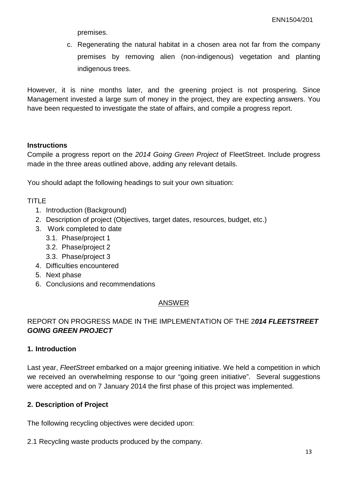premises.

c. Regenerating the natural habitat in a chosen area not far from the company premises by removing alien (non-indigenous) vegetation and planting indigenous trees.

However, it is nine months later, and the greening project is not prospering. Since Management invested a large sum of money in the project, they are expecting answers. You have been requested to investigate the state of affairs, and compile a progress report.

#### **Instructions**

Compile a progress report on the *2014 Going Green Project* of FleetStreet. Include progress made in the three areas outlined above, adding any relevant details.

You should adapt the following headings to suit your own situation:

#### TITLE

- 1. Introduction (Background)
- 2. Description of project (Objectives, target dates, resources, budget, etc.)
- 3. Work completed to date
	- 3.1. Phase/project 1
	- 3.2. Phase/project 2
	- 3.3. Phase/project 3
- 4. Difficulties encountered
- 5. Next phase
- 6. Conclusions and recommendations

#### ANSWER

# REPORT ON PROGRESS MADE IN THE IMPLEMENTATION OF THE 2*014 FLEETSTREET GOING GREEN PROJECT*

#### **1. Introduction**

Last year, *FleetStreet* embarked on a major greening initiative. We held a competition in which we received an overwhelming response to our "going green initiative". Several suggestions were accepted and on 7 January 2014 the first phase of this project was implemented.

#### **2. Description of Project**

The following recycling objectives were decided upon:

2.1 Recycling waste products produced by the company.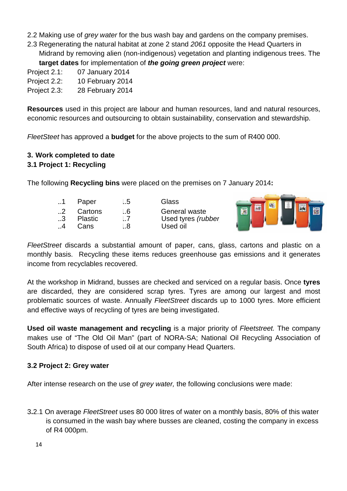- 2.2 Making use of *grey water* for the bus wash bay and gardens on the company premises.
- 2.3 Regenerating the natural habitat at zone 2 stand *2061* opposite the Head Quarters in Midrand by removing alien (non-indigenous) vegetation and planting indigenous trees. The **target dates** for implementation of *the going green project* were:
- Project 2.1: 07 January 2014
- Project 2.2: 10 February 2014
- Project 2.3: 28 February 2014

**Resources** used in this project are labour and human resources, land and natural resources, economic resources and outsourcing to obtain sustainability, conservation and stewardship.

*FleetSteet* has approved a **budget** for the above projects to the sum of R400 000.

# **3. Work completed to date**

#### **3.1 Project 1: Recycling**

The following **Recycling bins** were placed on the premises on 7 January 2014**:**

| $\pm$ .1  | Paper          | I.5            | Glass              |
|-----------|----------------|----------------|--------------------|
| $\pm 2$   | Cartons        | $\overline{6}$ | General waste      |
| $\perp$ 3 | <b>Plastic</b> | $\overline{7}$ | Used tyres (rubber |
| $\vert$ 4 | Cans           | ⊟8.⊺           | Used oil           |



*FleetStreet* discards a substantial amount of paper, cans, glass, cartons and plastic on a monthly basis. Recycling these items reduces greenhouse gas emissions and it generates income from recyclables recovered.

At the workshop in Midrand, busses are checked and serviced on a regular basis. Once **tyres**  are discarded, they are considered scrap tyres. Tyres are among our largest and most problematic sources of waste. Annually *FleetStreet* discards up to 1000 tyres. More efficient and effective ways of recycling of tyres are being investigated.

**Used oil waste management and recycling** is a major priority of *Fleetstreet.* The company makes use of "The Old Oil Man" (part of NORA-SA; National Oil Recycling Association of South Africa) to dispose of used oil at our company Head Quarters.

#### **3.2 Project 2: Grey water**

After intense research on the use of *grey water,* the following conclusions were made:

3**.**2.1 On average *FleetStreet* uses 80 000 litres of water on a monthly basis, 80% of this water is consumed in the wash bay where busses are cleaned, costing the company in excess of R4 000pm.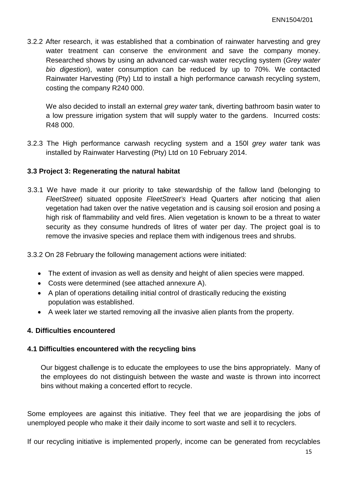3.2.2 After research, it was established that a combination of rainwater harvesting and grey water treatment can conserve the environment and save the company money. Researched shows by using an advanced car-wash water recycling system (*Grey water bio digestion*), water consumption can be reduced by up to 70%. We contacted Rainwater Harvesting (Pty) Ltd to install a high performance carwash recycling system, costing the company R240 000.

We also decided to install an external *grey water* tank, diverting bathroom basin water to a low pressure irrigation system that will supply water to the gardens. Incurred costs: R48 000.

3.2.3 The High performance carwash recycling system and a 150l *grey water* tank was installed by Rainwater Harvesting (Pty) Ltd on 10 February 2014.

#### **3.3 Project 3: Regenerating the natural habitat**

- 3.3.1 We have made it our priority to take stewardship of the fallow land (belonging to *FleetStreet*) situated opposite *FleetStreet's* Head Quarters after noticing that alien vegetation had taken over the native vegetation and is causing soil erosion and posing a high risk of flammability and veld fires. Alien vegetation is known to be a threat to water security as they consume hundreds of litres of water per day. The project goal is to remove the invasive species and replace them with indigenous trees and shrubs.
- 3.3.2 On 28 February the following management actions were initiated:
	- The extent of invasion as well as density and height of alien species were mapped.
	- Costs were determined (see attached annexure A).
	- A plan of operations detailing initial control of drastically reducing the existing population was established.
	- A week later we started removing all the invasive alien plants from the property.

### **4. Difficulties encountered**

#### **4.1 Difficulties encountered with the recycling bins**

Our biggest challenge is to educate the employees to use the bins appropriately. Many of the employees do not distinguish between the waste and waste is thrown into incorrect bins without making a concerted effort to recycle.

Some employees are against this initiative. They feel that we are jeopardising the jobs of unemployed people who make it their daily income to sort waste and sell it to recyclers.

If our recycling initiative is implemented properly, income can be generated from recyclables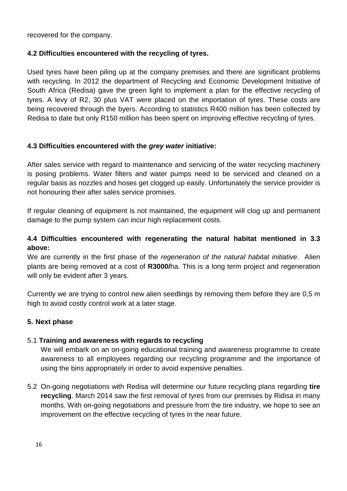recovered for the company.

# **4.2 Difficulties encountered with the recycling of tyres.**

Used tyres have been piling up at the company premises and there are significant problems with recycling. In 2012 the department of Recycling and Economic Development Initiative of South Africa (Redisa) gave the green light to implement a plan for the effective recycling of tyres. A levy of R2, 30 plus VAT were placed on the importation of tyres. These costs are being recovered through the byers. According to statistics R400 million has been collected by Redisa to date but only R150 million has been spent on improving effective recycling of tyres.

# **4.3 Difficulties encountered with the** *grey water* **initiative:**

After sales service with regard to maintenance and servicing of the water recycling machinery is posing problems. Water filters and water pumps need to be serviced and cleaned on a regular basis as nozzles and hoses get clogged up easily. Unfortunately the service provider is not honouring their after sales service promises.

If regular cleaning of equipment is not maintained, the equipment will clog up and permanent damage to the pump system can incur high replacement costs.

# **4.4 Difficulties encountered with regenerating the natural habitat mentioned in 3.3 above:**

We are currently in the first phase of the *regeneration of the natural habitat initiative*. Alien plants are being removed at a cost of **R3000/**ha. This is a long term project and regeneration will only be evident after 3 years.

Currently we are trying to control new alien seedlings by removing them before they are 0,5 m high to avoid costly control work at a later stage.

# **5. Next phase**

# 5.1 **Training and awareness with regards to recycling**

We will embark on an on-going educational training and awareness programme to create awareness to all employees regarding our recycling programme and the importance of using the bins appropriately in order to avoid expensive penalties.

5.2 On-going negotiations with Redisa will determine our future recycling plans regarding **tire recycling**. March 2014 saw the first removal of tyres from our premises by Ridisa in many months. With on-going negotiations and pressure from the tire industry, we hope to see an improvement on the effective recycling of tyres in the near future.